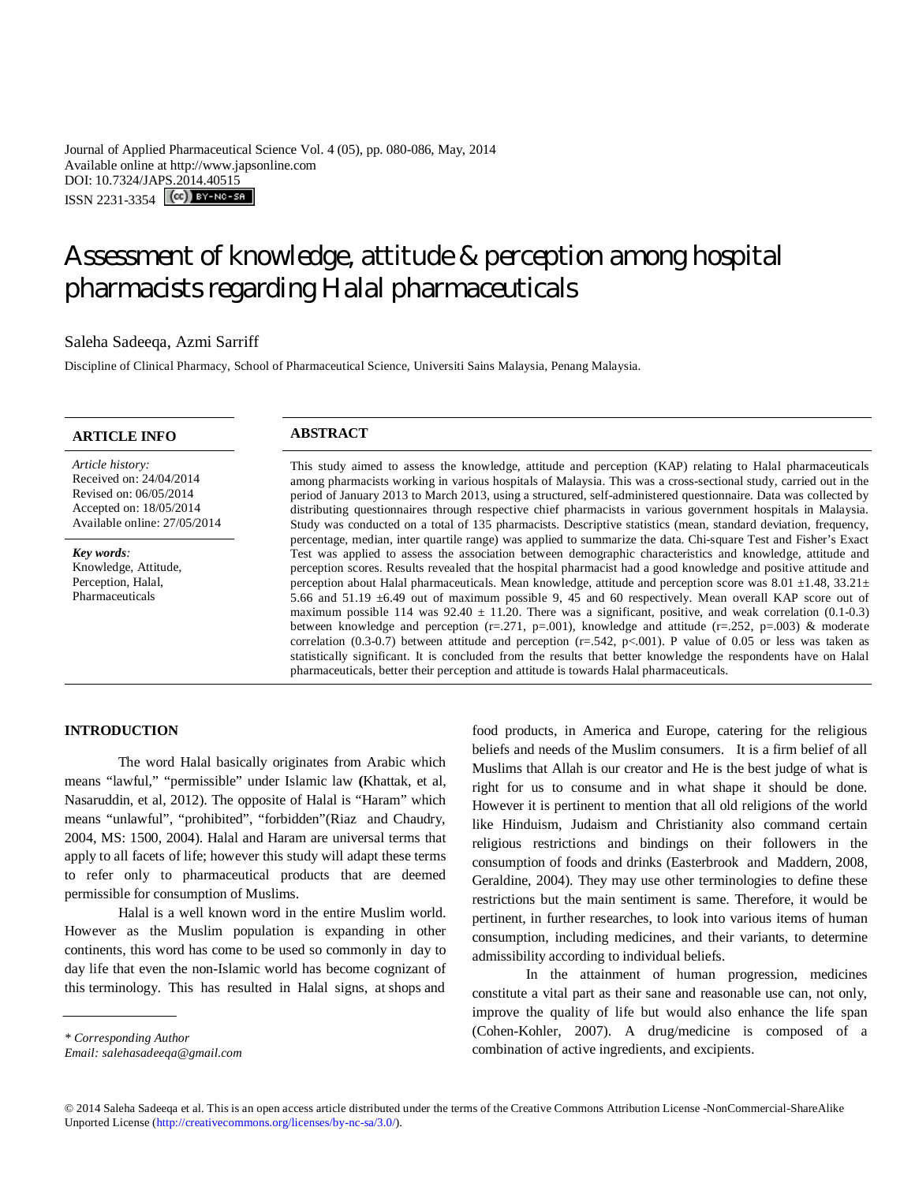Journal of Applied Pharmaceutical Science Vol. 4 (05), pp. 080-086, May, 2014 Available online at http://www.japsonline.com DOI: 10.7324/JAPS.2014.40515 ISSN 2231-3354 (CC) BY-NO-SA

# Assessment of knowledge, attitude & perception among hospital pharmacists regarding Halal pharmaceuticals

# Saleha Sadeeqa, Azmi Sarriff

Discipline of Clinical Pharmacy, School of Pharmaceutical Science, Universiti Sains Malaysia, Penang Malaysia.

| <b>ARTICLE INFO</b>                                                                                                              | <b>ABSTRACT</b>                                                                                                                                                                                                                                                                                                                                                                                                                                                                                                                                                                                                                                                                                                                                                                                                                 |
|----------------------------------------------------------------------------------------------------------------------------------|---------------------------------------------------------------------------------------------------------------------------------------------------------------------------------------------------------------------------------------------------------------------------------------------------------------------------------------------------------------------------------------------------------------------------------------------------------------------------------------------------------------------------------------------------------------------------------------------------------------------------------------------------------------------------------------------------------------------------------------------------------------------------------------------------------------------------------|
| Article history:<br>Received on: 24/04/2014<br>Revised on: 06/05/2014<br>Accepted on: 18/05/2014<br>Available online: 27/05/2014 | This study aimed to assess the knowledge, attitude and perception (KAP) relating to Halal pharmaceuticals<br>among pharmacists working in various hospitals of Malaysia. This was a cross-sectional study, carried out in the<br>period of January 2013 to March 2013, using a structured, self-administered questionnaire. Data was collected by<br>distributing questionnaires through respective chief pharmacists in various government hospitals in Malaysia.<br>Study was conducted on a total of 135 pharmacists. Descriptive statistics (mean, standard deviation, frequency,                                                                                                                                                                                                                                           |
| Key words:<br>Knowledge, Attitude,<br>Perception, Halal,<br>Pharmaceuticals                                                      | percentage, median, inter quartile range) was applied to summarize the data. Chi-square Test and Fisher's Exact<br>Test was applied to assess the association between demographic characteristics and knowledge, attitude and<br>perception scores. Results revealed that the hospital pharmacist had a good knowledge and positive attitude and<br>perception about Halal pharmaceuticals. Mean knowledge, attitude and perception score was 8.01 $\pm$ 1.48, 33.21 $\pm$<br>5.66 and 51.19 ±6.49 out of maximum possible 9, 45 and 60 respectively. Mean overall KAP score out of<br>maximum possible 114 was $92.40 \pm 11.20$ . There was a significant, positive, and weak correlation (0.1-0.3)<br>between knowledge and perception ( $r=0.271$ , $p=0.01$ ), knowledge and attitude ( $r=0.252$ , $p=0.003$ ) & moderate |

correlation (0.3-0.7) between attitude and perception (r=.542, p<.001). P value of 0.05 or less was taken as statistically significant. It is concluded from the results that better knowledge the respondents have on Halal pharmaceuticals, better their perception and attitude is towards Halal pharmaceuticals.

# **INTRODUCTION**

The word Halal basically originates from Arabic which means "lawful," "permissible" under Islamic law **(**Khattak, et al, Nasaruddin, et al, 2012). The opposite of Halal is "Haram" which means "unlawful", "prohibited", "forbidden"(Riaz and Chaudry, 2004, MS: 1500, 2004). Halal and Haram are universal terms that apply to all facets of life; however this study will adapt these terms to refer only to pharmaceutical products that are deemed permissible for consumption of Muslims.

Halal is a well known word in the entire Muslim world. However as the Muslim population is expanding in other continents, this word has come to be used so commonly in day to day life that even the non-Islamic world has become cognizant of this terminology. This has resulted in Halal signs, at shops and

*\* Corresponding Author*

*Email: salehasadeeqa@gmail.com*

food products, in America and Europe, catering for the religious beliefs and needs of the Muslim consumers. It is a firm belief of all Muslims that Allah is our creator and He is the best judge of what is right for us to consume and in what shape it should be done. However it is pertinent to mention that all old religions of the world like Hinduism, Judaism and Christianity also command certain religious restrictions and bindings on their followers in the consumption of foods and drinks (Easterbrook and Maddern, 2008, Geraldine, 2004). They may use other terminologies to define these restrictions but the main sentiment is same. Therefore, it would be pertinent, in further researches, to look into various items of human consumption, including medicines, and their variants, to determine admissibility according to individual beliefs.

In the attainment of human progression, medicines constitute a vital part as their sane and reasonable use can, not only, improve the quality of life but would also enhance the life span (Cohen-Kohler, 2007). A drug/medicine is composed of a combination of active ingredients, and excipients.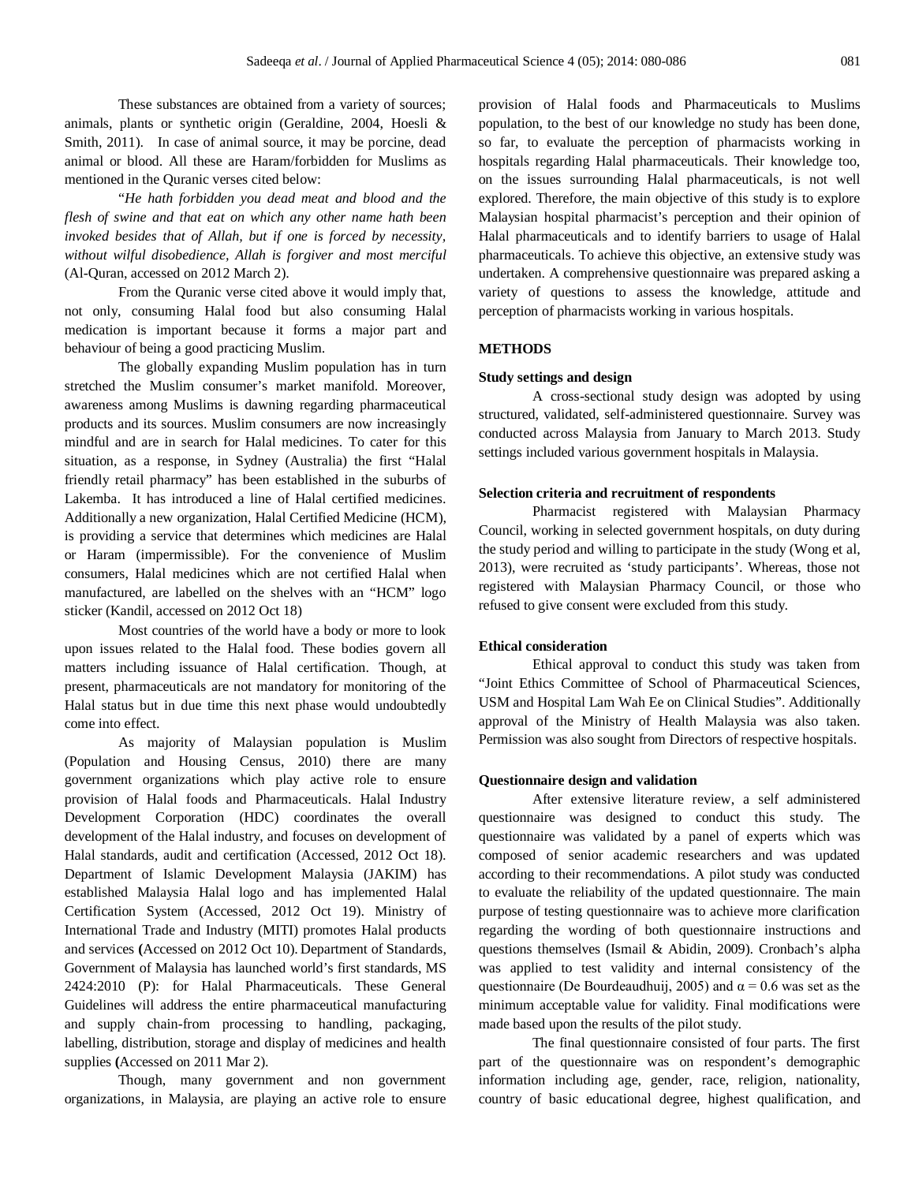These substances are obtained from a variety of sources; animals, plants or synthetic origin (Geraldine, 2004, Hoesli & Smith, 2011). In case of animal source, it may be porcine, dead animal or blood. All these are Haram/forbidden for Muslims as mentioned in the Quranic verses cited below:

"*He hath forbidden you dead meat and blood and the flesh of swine and that eat on which any other name hath been invoked besides that of Allah, but if one is forced by necessity, without wilful disobedience, Allah is forgiver and most merciful* (Al-Quran, accessed on 2012 March 2).

From the Quranic verse cited above it would imply that, not only, consuming Halal food but also consuming Halal medication is important because it forms a major part and behaviour of being a good practicing Muslim.

The globally expanding Muslim population has in turn stretched the Muslim consumer's market manifold. Moreover, awareness among Muslims is dawning regarding pharmaceutical products and its sources. Muslim consumers are now increasingly mindful and are in search for Halal medicines. To cater for this situation, as a response, in Sydney (Australia) the first "Halal friendly retail pharmacy" has been established in the suburbs of Lakemba. It has introduced a line of Halal certified medicines. Additionally a new organization, Halal Certified Medicine (HCM), is providing a service that determines which medicines are Halal or Haram (impermissible). For the convenience of Muslim consumers, Halal medicines which are not certified Halal when manufactured, are labelled on the shelves with an "HCM" logo sticker (Kandil, accessed on 2012 Oct 18)

Most countries of the world have a body or more to look upon issues related to the Halal food. These bodies govern all matters including issuance of Halal certification. Though, at present, pharmaceuticals are not mandatory for monitoring of the Halal status but in due time this next phase would undoubtedly come into effect.

As majority of Malaysian population is Muslim (Population and Housing Census, 2010) there are many government organizations which play active role to ensure provision of Halal foods and Pharmaceuticals. Halal Industry Development Corporation (HDC) coordinates the overall development of the Halal industry, and focuses on development of Halal standards, audit and certification (Accessed, 2012 Oct 18). Department of Islamic Development Malaysia (JAKIM) has established Malaysia Halal logo and has implemented Halal Certification System (Accessed, 2012 Oct 19). Ministry of International Trade and Industry (MITI) promotes Halal products and services **(**Accessed on 2012 Oct 10). Department of Standards, Government of Malaysia has launched world's first standards, MS 2424:2010 (P): for Halal Pharmaceuticals. These General Guidelines will address the entire pharmaceutical manufacturing and supply chain-from processing to handling, packaging, labelling, distribution, storage and display of medicines and health supplies **(**Accessed on 2011 Mar 2).

Though, many government and non government organizations, in Malaysia, are playing an active role to ensure

provision of Halal foods and Pharmaceuticals to Muslims population, to the best of our knowledge no study has been done, so far, to evaluate the perception of pharmacists working in hospitals regarding Halal pharmaceuticals. Their knowledge too, on the issues surrounding Halal pharmaceuticals, is not well explored. Therefore, the main objective of this study is to explore Malaysian hospital pharmacist's perception and their opinion of Halal pharmaceuticals and to identify barriers to usage of Halal pharmaceuticals. To achieve this objective, an extensive study was undertaken. A comprehensive questionnaire was prepared asking a variety of questions to assess the knowledge, attitude and perception of pharmacists working in various hospitals.

# **METHODS**

## **Study settings and design**

A cross-sectional study design was adopted by using structured, validated, self-administered questionnaire. Survey was conducted across Malaysia from January to March 2013. Study settings included various government hospitals in Malaysia.

# **Selection criteria and recruitment of respondents**

Pharmacist registered with Malaysian Pharmacy Council, working in selected government hospitals, on duty during the study period and willing to participate in the study (Wong et al, 2013), were recruited as 'study participants'. Whereas, those not registered with Malaysian Pharmacy Council, or those who refused to give consent were excluded from this study.

# **Ethical consideration**

Ethical approval to conduct this study was taken from "Joint Ethics Committee of School of Pharmaceutical Sciences, USM and Hospital Lam Wah Ee on Clinical Studies". Additionally approval of the Ministry of Health Malaysia was also taken. Permission was also sought from Directors of respective hospitals.

# **Questionnaire design and validation**

After extensive literature review, a self administered questionnaire was designed to conduct this study. The questionnaire was validated by a panel of experts which was composed of senior academic researchers and was updated according to their recommendations. A pilot study was conducted to evaluate the reliability of the updated questionnaire. The main purpose of testing questionnaire was to achieve more clarification regarding the wording of both questionnaire instructions and questions themselves (Ismail & Abidin, 2009). Cronbach's alpha was applied to test validity and internal consistency of the questionnaire (De Bourdeaudhuij, 2005) and  $\alpha$  = 0.6 was set as the minimum acceptable value for validity. Final modifications were made based upon the results of the pilot study.

The final questionnaire consisted of four parts. The first part of the questionnaire was on respondent's demographic information including age, gender, race, religion, nationality, country of basic educational degree, highest qualification, and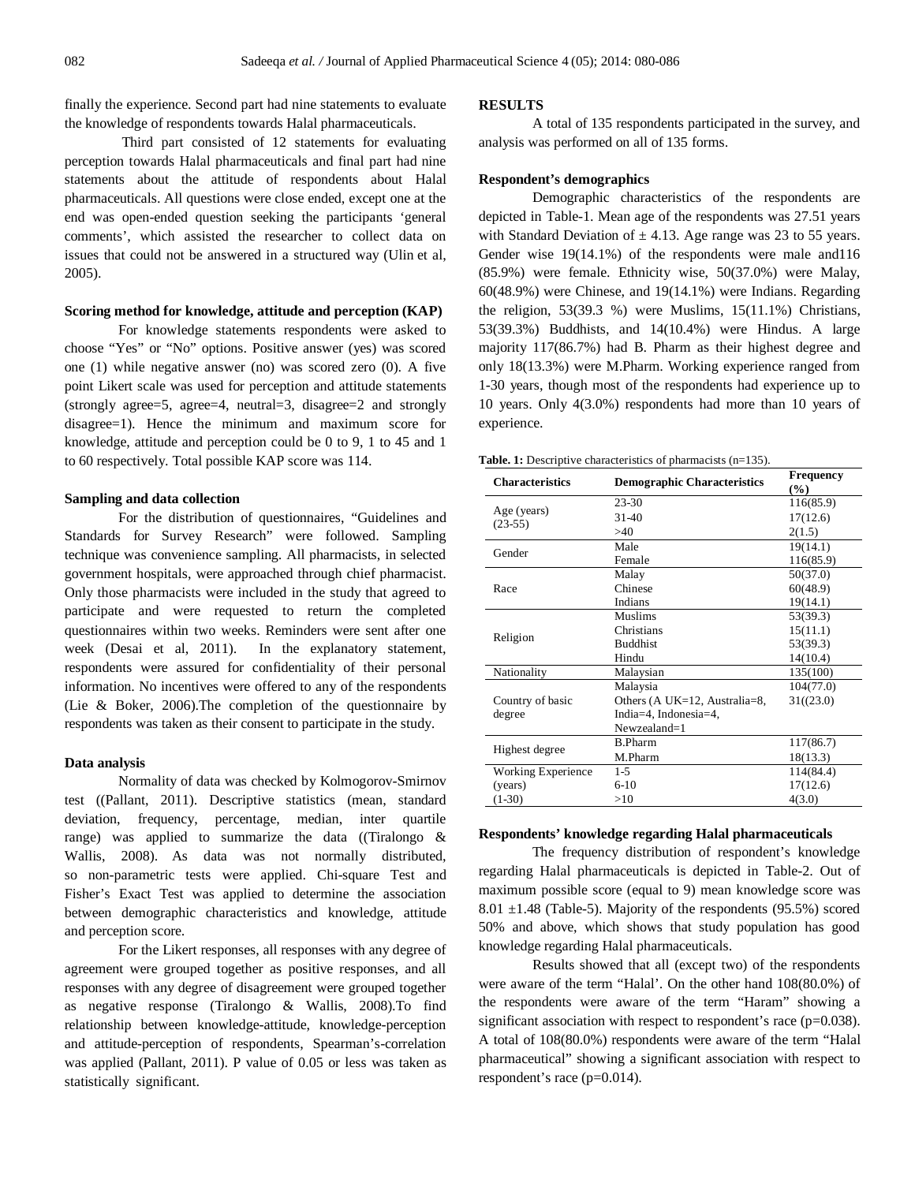finally the experience. Second part had nine statements to evaluate the knowledge of respondents towards Halal pharmaceuticals.

Third part consisted of 12 statements for evaluating perception towards Halal pharmaceuticals and final part had nine statements about the attitude of respondents about Halal pharmaceuticals. All questions were close ended, except one at the end was open-ended question seeking the participants 'general comments', which assisted the researcher to collect data on issues that could not be answered in a structured way (Ulin et al, 2005).

# **Scoring method for knowledge, attitude and perception (KAP)**

For knowledge statements respondents were asked to choose "Yes" or "No" options. Positive answer (yes) was scored one (1) while negative answer (no) was scored zero (0). A five point Likert scale was used for perception and attitude statements (strongly agree=5, agree=4, neutral=3, disagree=2 and strongly disagree=1). Hence the minimum and maximum score for knowledge, attitude and perception could be 0 to 9, 1 to 45 and 1 to 60 respectively. Total possible KAP score was 114.

#### **Sampling and data collection**

For the distribution of questionnaires, "Guidelines and Standards for Survey Research" were followed. Sampling technique was convenience sampling. All pharmacists, in selected government hospitals, were approached through chief pharmacist. Only those pharmacists were included in the study that agreed to participate and were requested to return the completed questionnaires within two weeks. Reminders were sent after one week (Desai et al, 2011). In the explanatory statement, respondents were assured for confidentiality of their personal information. No incentives were offered to any of the respondents (Lie & Boker, 2006).The completion of the questionnaire by respondents was taken as their consent to participate in the study.

# **Data analysis**

Normality of data was checked by Kolmogorov-Smirnov test ((Pallant, 2011). Descriptive statistics (mean, standard deviation, frequency, percentage, median, inter quartile range) was applied to summarize the data ((Tiralongo & Wallis, 2008). As data was not normally distributed, so non-parametric tests were applied. Chi-square Test and Fisher's Exact Test was applied to determine the association between demographic characteristics and knowledge, attitude and perception score.

For the Likert responses, all responses with any degree of agreement were grouped together as positive responses, and all responses with any degree of disagreement were grouped together as negative response (Tiralongo & Wallis, 2008).To find relationship between knowledge-attitude, knowledge-perception and attitude-perception of respondents, Spearman's-correlation was applied (Pallant, 2011). P value of 0.05 or less was taken as statistically significant.

#### **RESULTS**

A total of 135 respondents participated in the survey, and analysis was performed on all of 135 forms.

# **Respondent's demographics**

Demographic characteristics of the respondents are depicted in Table-1. Mean age of the respondents was 27.51 years with Standard Deviation of  $\pm$  4.13. Age range was 23 to 55 years. Gender wise 19(14.1%) of the respondents were male and116 (85.9%) were female. Ethnicity wise, 50(37.0%) were Malay, 60(48.9%) were Chinese, and 19(14.1%) were Indians. Regarding the religion, 53(39.3 %) were Muslims, 15(11.1%) Christians, 53(39.3%) Buddhists, and 14(10.4%) were Hindus. A large majority 117(86.7%) had B. Pharm as their highest degree and only 18(13.3%) were M.Pharm. Working experience ranged from 1-30 years, though most of the respondents had experience up to 10 years. Only 4(3.0%) respondents had more than 10 years of experience.

| <b>Table. 1:</b> Descriptive characteristics of pharmacists $(n=135)$ . |  |  |  |
|-------------------------------------------------------------------------|--|--|--|
|-------------------------------------------------------------------------|--|--|--|

| <b>Characteristics</b>   | <b>Demographic Characteristics</b> | <b>Frequency</b><br>$(\%)$ |
|--------------------------|------------------------------------|----------------------------|
|                          | $23 - 30$                          | 116(85.9)                  |
| Age (years)<br>$(23-55)$ | $31-40$                            | 17(12.6)                   |
|                          | >40                                | 2(1.5)                     |
| Gender                   | Male                               | 19(14.1)                   |
|                          | Female                             | 116(85.9)                  |
|                          | Malay                              | 50(37.0)                   |
| Race                     | Chinese                            | 60(48.9)                   |
|                          | Indians                            | 19(14.1)                   |
|                          | <b>Muslims</b>                     | 53(39.3)                   |
| Religion                 | Christians                         | 15(11.1)                   |
|                          | <b>Buddhist</b>                    | 53(39.3)                   |
|                          | Hindu                              | 14(10.4)                   |
| Nationality              | Malaysian                          | 135(100)                   |
|                          | Malaysia                           | 104(77.0)                  |
| Country of basic         | Others (A UK=12, Australia=8,      | 31((23.0)                  |
| degree                   | India=4, Indonesia=4,              |                            |
|                          | Newzealand=1                       |                            |
|                          | <b>B.Pharm</b>                     | 117(86.7)                  |
| Highest degree           | M.Pharm                            | 18(13.3)                   |
| Working Experience       | $1 - 5$                            | 114(84.4)                  |
| (years)                  | $6-10$                             | 17(12.6)                   |
| $(1-30)$                 | >10                                | 4(3.0)                     |

# **Respondents' knowledge regarding Halal pharmaceuticals**

The frequency distribution of respondent's knowledge regarding Halal pharmaceuticals is depicted in Table-2. Out of maximum possible score (equal to 9) mean knowledge score was 8.01  $\pm$ 1.48 (Table-5). Majority of the respondents (95.5%) scored 50% and above, which shows that study population has good knowledge regarding Halal pharmaceuticals.

Results showed that all (except two) of the respondents were aware of the term "Halal'. On the other hand 108(80.0%) of the respondents were aware of the term "Haram" showing a significant association with respect to respondent's race (p=0.038). A total of 108(80.0%) respondents were aware of the term "Halal pharmaceutical" showing a significant association with respect to respondent's race (p=0.014).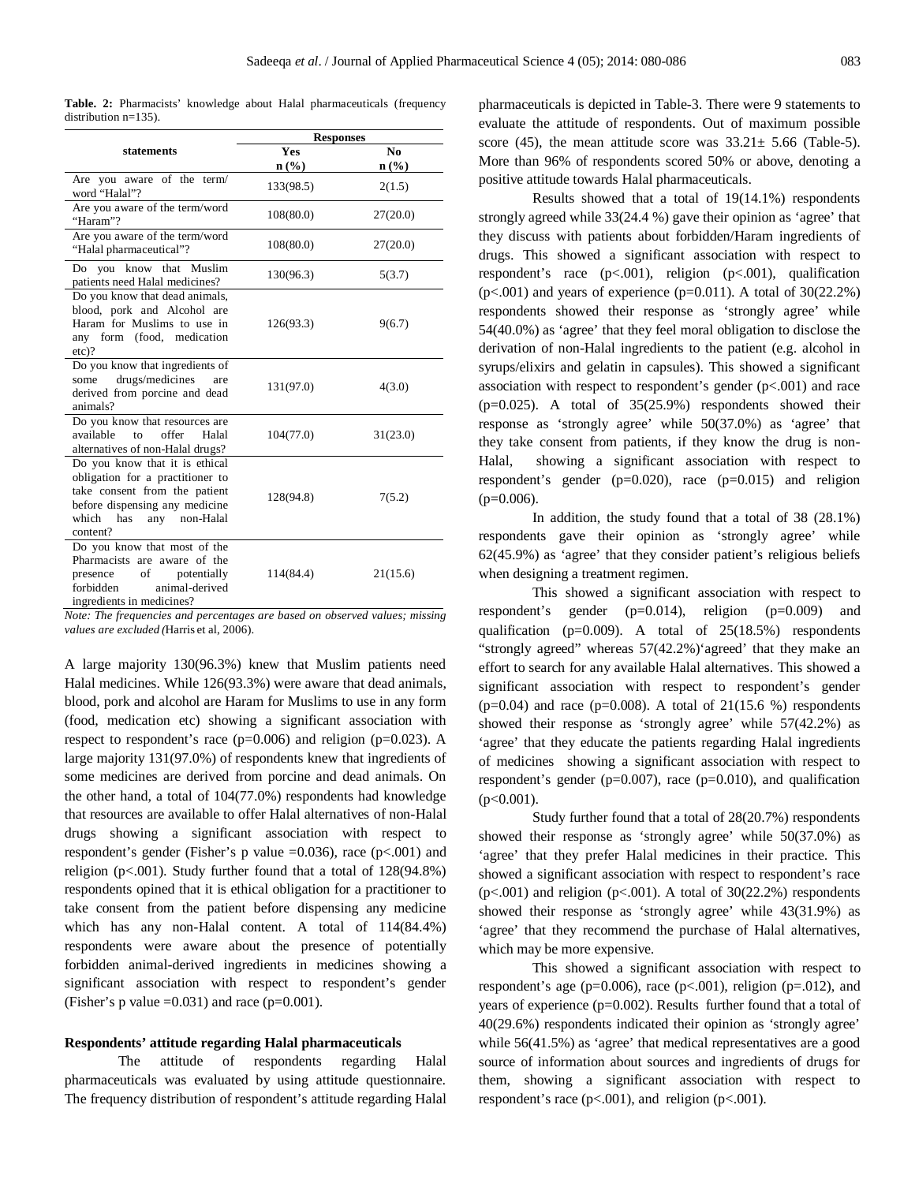|  |                         |  | <b>Table. 2:</b> Pharmacists' knowledge about Halal pharmaceuticals (frequency |  |
|--|-------------------------|--|--------------------------------------------------------------------------------|--|
|  | distribution $n=135$ ). |  |                                                                                |  |

| <b>Responses</b>                                                                                                                                                                |                             |                             |  |
|---------------------------------------------------------------------------------------------------------------------------------------------------------------------------------|-----------------------------|-----------------------------|--|
| statements                                                                                                                                                                      | <b>Yes</b>                  | No.                         |  |
|                                                                                                                                                                                 | $n\left(\frac{9}{6}\right)$ | $n\left(\frac{0}{0}\right)$ |  |
| Are you aware of the term/<br>word "Halal"?                                                                                                                                     | 133(98.5)                   | 2(1.5)                      |  |
| Are you aware of the term/word<br>"Haram"?                                                                                                                                      | 108(80.0)                   | 27(20.0)                    |  |
| Are you aware of the term/word<br>"Halal pharmaceutical"?                                                                                                                       | 108(80.0)                   | 27(20.0)                    |  |
| Do you know that Muslim<br>patients need Halal medicines?                                                                                                                       | 130(96.3)                   | 5(3.7)                      |  |
| Do you know that dead animals,<br>blood, pork and Alcohol are<br>Haram for Muslims to use in<br>any form (food, medication<br>$etc$ ?                                           | 126(93.3)                   | 9(6.7)                      |  |
| Do you know that ingredients of<br>drugs/medicines<br>some<br>are<br>derived from porcine and dead<br>animals?                                                                  | 131(97.0)                   | 4(3.0)                      |  |
| Do you know that resources are<br>available to<br>offer<br>Halal<br>alternatives of non-Halal drugs?                                                                            | 104(77.0)                   | 31(23.0)                    |  |
| Do you know that it is ethical<br>obligation for a practitioner to<br>take consent from the patient<br>before dispensing any medicine<br>which has<br>any non-Halal<br>content? | 128(94.8)                   | 7(5.2)                      |  |
| Do you know that most of the<br>Pharmacists are aware of the<br>presence of<br>potentially<br>forbidden<br>animal-derived<br>ingredients in medicines?                          | 114(84.4)                   | 21(15.6)                    |  |

*Note: The frequencies and percentages are based on observed values; missing values are excluded (*Harris et al, 2006).

A large majority 130(96.3%) knew that Muslim patients need Halal medicines. While 126(93.3%) were aware that dead animals, blood, pork and alcohol are Haram for Muslims to use in any form (food, medication etc) showing a significant association with respect to respondent's race  $(p=0.006)$  and religion  $(p=0.023)$ . A large majority 131(97.0%) of respondents knew that ingredients of some medicines are derived from porcine and dead animals. On the other hand, a total of 104(77.0%) respondents had knowledge that resources are available to offer Halal alternatives of non-Halal drugs showing a significant association with respect to respondent's gender (Fisher's p value  $=0.036$ ), race (p<.001) and religion (p<.001). Study further found that a total of 128(94.8%) respondents opined that it is ethical obligation for a practitioner to take consent from the patient before dispensing any medicine which has any non-Halal content. A total of 114(84.4%) respondents were aware about the presence of potentially forbidden animal-derived ingredients in medicines showing a significant association with respect to respondent's gender (Fisher's p value  $=0.031$ ) and race (p=0.001).

# **Respondents' attitude regarding Halal pharmaceuticals**

The attitude of respondents regarding Halal pharmaceuticals was evaluated by using attitude questionnaire. The frequency distribution of respondent's attitude regarding Halal pharmaceuticals is depicted in Table-3. There were 9 statements to evaluate the attitude of respondents. Out of maximum possible score (45), the mean attitude score was  $33.21 \pm 5.66$  (Table-5). More than 96% of respondents scored 50% or above, denoting a positive attitude towards Halal pharmaceuticals.

Results showed that a total of 19(14.1%) respondents strongly agreed while 33(24.4 %) gave their opinion as 'agree' that they discuss with patients about forbidden/Haram ingredients of drugs. This showed a significant association with respect to respondent's race (p<.001), religion (p<.001), qualification  $(p<.001)$  and years of experience  $(p=0.011)$ . A total of 30(22.2%) respondents showed their response as 'strongly agree' while 54(40.0%) as 'agree' that they feel moral obligation to disclose the derivation of non-Halal ingredients to the patient (e.g. alcohol in syrups/elixirs and gelatin in capsules). This showed a significant association with respect to respondent's gender (p<.001) and race  $(p=0.025)$ . A total of  $35(25.9%)$  respondents showed their response as 'strongly agree' while 50(37.0%) as 'agree' that they take consent from patients, if they know the drug is non-Halal, showing a significant association with respect to respondent's gender (p=0.020), race (p=0.015) and religion  $(p=0.006)$ .

In addition, the study found that a total of 38 (28.1%) respondents gave their opinion as 'strongly agree' while 62(45.9%) as 'agree' that they consider patient's religious beliefs when designing a treatment regimen.

This showed a significant association with respect to respondent's gender (p=0.014), religion (p=0.009) and qualification (p=0.009). A total of 25(18.5%) respondents "strongly agreed" whereas 57(42.2%)'agreed' that they make an effort to search for any available Halal alternatives. This showed a significant association with respect to respondent's gender  $(p=0.04)$  and race  $(p=0.008)$ . A total of 21(15.6 %) respondents showed their response as 'strongly agree' while 57(42.2%) as 'agree' that they educate the patients regarding Halal ingredients of medicines showing a significant association with respect to respondent's gender ( $p=0.007$ ), race ( $p=0.010$ ), and qualification  $(p<0.001)$ .

Study further found that a total of 28(20.7%) respondents showed their response as 'strongly agree' while 50(37.0%) as 'agree' that they prefer Halal medicines in their practice. This showed a significant association with respect to respondent's race ( $p$ <.001) and religion ( $p$ <.001). A total of 30(22.2%) respondents showed their response as 'strongly agree' while 43(31.9%) as 'agree' that they recommend the purchase of Halal alternatives, which may be more expensive.

This showed a significant association with respect to respondent's age ( $p=0.006$ ), race ( $p<0.001$ ), religion ( $p=.012$ ), and years of experience  $(p=0.002)$ . Results further found that a total of 40(29.6%) respondents indicated their opinion as 'strongly agree' while 56(41.5%) as 'agree' that medical representatives are a good source of information about sources and ingredients of drugs for them, showing a significant association with respect to respondent's race  $(p<.001)$ , and religion  $(p<.001)$ .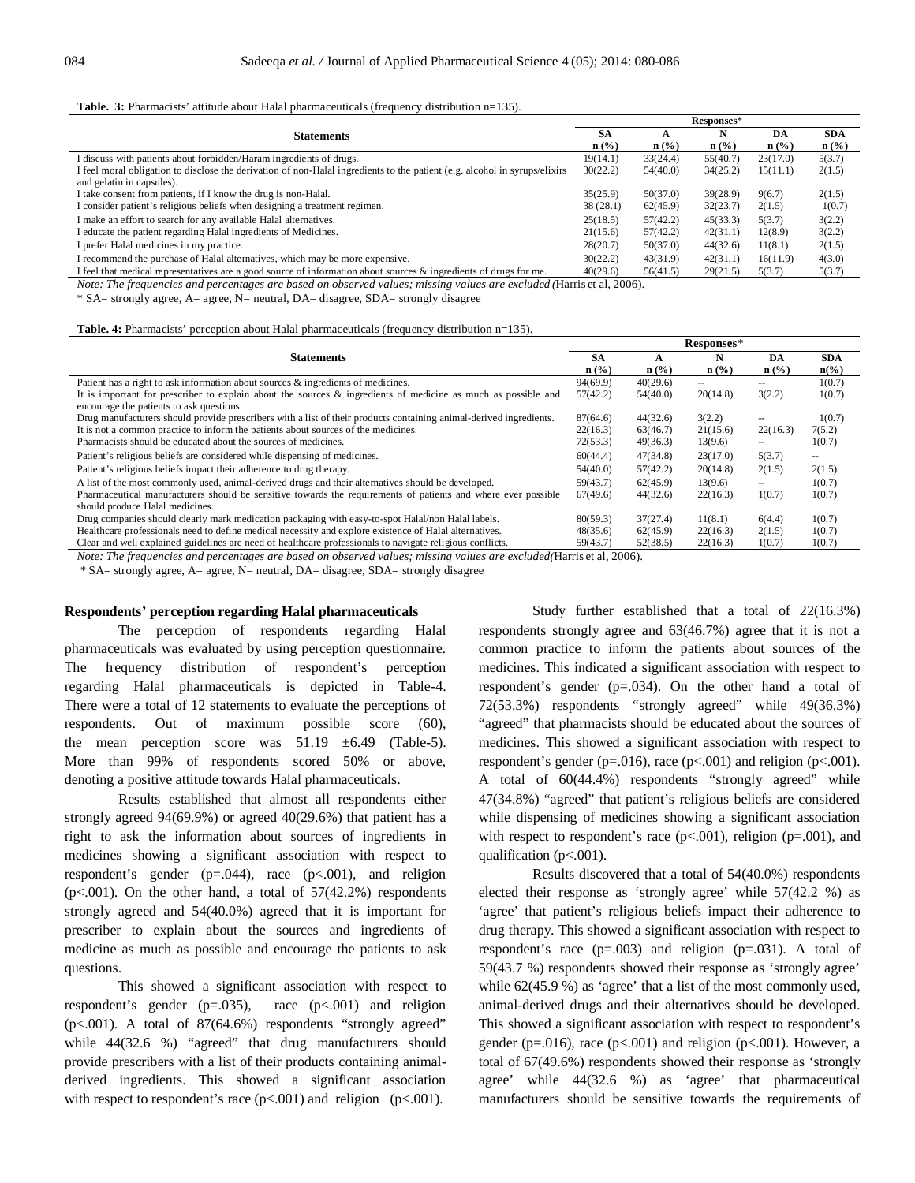#### **Table. 3:** Pharmacists' attitude about Halal pharmaceuticals (frequency distribution n=135).

|                                                                                                                            |                             |                  | Responses*       |                  |                  |
|----------------------------------------------------------------------------------------------------------------------------|-----------------------------|------------------|------------------|------------------|------------------|
| <b>Statements</b>                                                                                                          | <b>SA</b>                   |                  | N                | DA               | <b>SDA</b>       |
|                                                                                                                            | $\mathbf{n}(\%)$            | $\mathbf{n}$ (%) | $\mathbf{n}(\%)$ | $\mathbf{n}(\%)$ | $\mathbf{n}(\%)$ |
| I discuss with patients about forbidden/Haram ingredients of drugs.                                                        | 19(14.1)                    | 33(24.4)         | 55(40.7)         | 23(17.0)         | 5(3.7)           |
| I feel moral obligation to disclose the derivation of non-Halal ingredients to the patient (e.g. alcohol in syrups/elixirs | 30(22.2)                    | 54(40.0)         | 34(25.2)         | 15(11.1)         | 2(1.5)           |
| and gelatin in capsules).                                                                                                  |                             |                  |                  |                  |                  |
| I take consent from patients, if I know the drug is non-Halal.                                                             | 35(25.9)                    | 50(37.0)         | 39(28.9)         | 9(6.7)           | 2(1.5)           |
| I consider patient's religious beliefs when designing a treatment regimen.                                                 | 38(28.1)                    | 62(45.9)         | 32(23.7)         | 2(1.5)           | 1(0.7)           |
| I make an effort to search for any available Halal alternatives.                                                           | 25(18.5)                    | 57(42.2)         | 45(33.3)         | 5(3.7)           | 3(2.2)           |
| I educate the patient regarding Halal ingredients of Medicines.                                                            | 21(15.6)                    | 57(42.2)         | 42(31.1)         | 12(8.9)          | 3(2.2)           |
| I prefer Halal medicines in my practice.                                                                                   | 28(20.7)                    | 50(37.0)         | 44(32.6)         | 11(8.1)          | 2(1.5)           |
| I recommend the purchase of Halal alternatives, which may be more expensive.                                               | 30(22.2)                    | 43(31.9)         | 42(31.1)         | 16(11.9)         | 4(3.0)           |
| I feel that medical representatives are a good source of information about sources $\&$ ingredients of drugs for me.       | 40(29.6)                    | 56(41.5)         | 29(21.5)         | 5(3.7)           | 5(3.7)           |
|                                                                                                                            | $\sim$ $\sim$ $\sim$ $\sim$ |                  |                  |                  |                  |

*Note: The frequencies and percentages are based on observed values; missing values are excluded (*Harris et al, 2006).

\* SA= strongly agree, A= agree, N= neutral, DA= disagree, SDA= strongly disagree

#### **Table. 4:** Pharmacists' perception about Halal pharmaceuticals (frequency distribution n=135).

|                                                                                                                                                                                                                                                                                                                                                         |                  | Responses*       |                  |                  |                          |  |
|---------------------------------------------------------------------------------------------------------------------------------------------------------------------------------------------------------------------------------------------------------------------------------------------------------------------------------------------------------|------------------|------------------|------------------|------------------|--------------------------|--|
| <b>Statements</b>                                                                                                                                                                                                                                                                                                                                       | <b>SA</b>        | A                | N                | DA               | <b>SDA</b>               |  |
|                                                                                                                                                                                                                                                                                                                                                         | $\mathbf{n}(\%)$ | $\mathbf{n}(\%)$ | $\mathbf{n}(\%)$ | $\mathbf{n}(\%)$ | $n\left(\%\right)$       |  |
| Patient has a right to ask information about sources & ingredients of medicines.                                                                                                                                                                                                                                                                        | 94(69.9)         | 40(29.6)         | --               | ۰.               | 1(0.7)                   |  |
| It is important for prescriber to explain about the sources & ingredients of medicine as much as possible and                                                                                                                                                                                                                                           | 57(42.2)         | 54(40.0)         | 20(14.8)         | 3(2.2)           | 1(0.7)                   |  |
| encourage the patients to ask questions.                                                                                                                                                                                                                                                                                                                |                  |                  |                  |                  |                          |  |
| Drug manufacturers should provide prescribers with a list of their products containing animal-derived ingredients.                                                                                                                                                                                                                                      | 87(64.6)         | 44(32.6)         | 3(2.2)           |                  | 1(0.7)                   |  |
| It is not a common practice to inform the patients about sources of the medicines.                                                                                                                                                                                                                                                                      | 22(16.3)         | 63(46.7)         | 21(15.6)         | 22(16.3)         | 7(5.2)                   |  |
| Pharmacists should be educated about the sources of medicines.                                                                                                                                                                                                                                                                                          | 72(53.3)         | 49(36.3)         | 13(9.6)          | --               | 1(0.7)                   |  |
| Patient's religious beliefs are considered while dispensing of medicines.                                                                                                                                                                                                                                                                               | 60(44.4)         | 47(34.8)         | 23(17.0)         | 5(3.7)           | $\overline{\phantom{m}}$ |  |
| Patient's religious beliefs impact their adherence to drug therapy.                                                                                                                                                                                                                                                                                     | 54(40.0)         | 57(42.2)         | 20(14.8)         | 2(1.5)           | 2(1.5)                   |  |
| A list of the most commonly used, animal-derived drugs and their alternatives should be developed.                                                                                                                                                                                                                                                      | 59(43.7)         | 62(45.9)         | 13(9.6)          | --               | 1(0.7)                   |  |
| Pharmaceutical manufacturers should be sensitive towards the requirements of patients and where ever possible                                                                                                                                                                                                                                           | 67(49.6)         | 44(32.6)         | 22(16.3)         | 1(0.7)           | 1(0.7)                   |  |
| should produce Halal medicines.                                                                                                                                                                                                                                                                                                                         |                  |                  |                  |                  |                          |  |
| Drug companies should clearly mark medication packaging with easy-to-spot Halal/non Halal labels.                                                                                                                                                                                                                                                       | 80(59.3)         | 37(27.4)         | 11(8.1)          | 6(4.4)           | 1(0.7)                   |  |
| Healthcare professionals need to define medical necessity and explore existence of Halal alternatives.                                                                                                                                                                                                                                                  | 48(35.6)         | 62(45.9)         | 22(16.3)         | 2(1.5)           | 1(0.7)                   |  |
| Clear and well explained guidelines are need of healthcare professionals to navigate religious conflicts.                                                                                                                                                                                                                                               | 59(43.7)         | 52(38.5)         | 22(16.3)         | 1(0.7)           | 1(0.7)                   |  |
| $\overline{M}$ , $\overline{M}$ ( $\overline{M}$ , $\overline{M}$ , $\overline{M}$ , $\overline{M}$ , $\overline{M}$ , $\overline{M}$ , $\overline{M}$ , $\overline{M}$ , $\overline{M}$ , $\overline{M}$ , $\overline{M}$ , $\overline{M}$ , $\overline{M}$ , $\overline{M}$ , $\overline{M}$ , $\overline{M}$ , $\overline{M}$ , $\overline{M}$ , $\$ |                  |                  |                  |                  |                          |  |

*Note: The frequencies and percentages are based on observed values; missing values are excluded(*Harris et al, 2006).

\* SA= strongly agree, A= agree, N= neutral, DA= disagree, SDA= strongly disagree

#### **Respondents' perception regarding Halal pharmaceuticals**

The perception of respondents regarding Halal pharmaceuticals was evaluated by using perception questionnaire. The frequency distribution of respondent's perception regarding Halal pharmaceuticals is depicted in Table-4. There were a total of 12 statements to evaluate the perceptions of respondents. Out of maximum possible score (60), the mean perception score was  $51.19 \pm 6.49$  (Table-5). More than 99% of respondents scored 50% or above, denoting a positive attitude towards Halal pharmaceuticals.

Results established that almost all respondents either strongly agreed 94(69.9%) or agreed 40(29.6%) that patient has a right to ask the information about sources of ingredients in medicines showing a significant association with respect to respondent's gender (p=.044), race (p<.001), and religion ( $p$ <.001). On the other hand, a total of  $57(42.2%)$  respondents strongly agreed and 54(40.0%) agreed that it is important for prescriber to explain about the sources and ingredients of medicine as much as possible and encourage the patients to ask questions.

This showed a significant association with respect to respondent's gender  $(p=.035)$ , race  $(p<.001)$  and religion  $(p<.001)$ . A total of 87 $(64.6\%)$  respondents "strongly agreed" while 44(32.6 %) "agreed" that drug manufacturers should provide prescribers with a list of their products containing animalderived ingredients. This showed a significant association with respect to respondent's race  $(p<.001)$  and religion  $(p<.001)$ .

Study further established that a total of 22(16.3%) respondents strongly agree and 63(46.7%) agree that it is not a common practice to inform the patients about sources of the medicines. This indicated a significant association with respect to respondent's gender (p=.034). On the other hand a total of 72(53.3%) respondents "strongly agreed" while 49(36.3%) "agreed" that pharmacists should be educated about the sources of medicines. This showed a significant association with respect to respondent's gender (p=.016), race (p<.001) and religion (p<.001). A total of 60(44.4%) respondents "strongly agreed" while 47(34.8%) "agreed" that patient's religious beliefs are considered while dispensing of medicines showing a significant association with respect to respondent's race  $(p<.001)$ , religion  $(p=.001)$ , and qualification  $(p<.001)$ .

Results discovered that a total of 54(40.0%) respondents elected their response as 'strongly agree' while 57(42.2 %) as 'agree' that patient's religious beliefs impact their adherence to drug therapy. This showed a significant association with respect to respondent's race  $(p=.003)$  and religion  $(p=.031)$ . A total of 59(43.7 %) respondents showed their response as 'strongly agree' while  $62(45.9\%)$  as 'agree' that a list of the most commonly used, animal-derived drugs and their alternatives should be developed. This showed a significant association with respect to respondent's gender (p=.016), race (p<.001) and religion (p<.001). However, a total of 67(49.6%) respondents showed their response as 'strongly agree' while 44(32.6 %) as 'agree' that pharmaceutical manufacturers should be sensitive towards the requirements of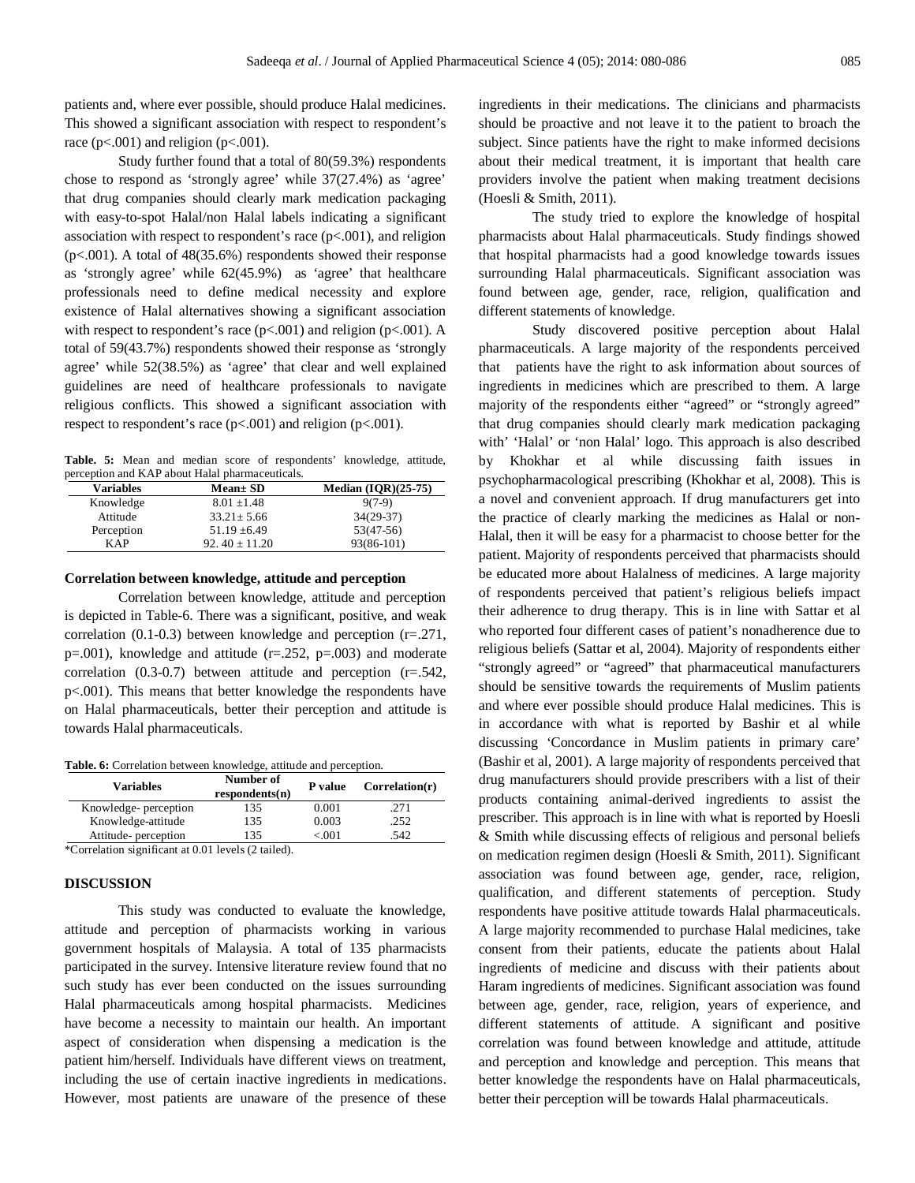patients and, where ever possible, should produce Halal medicines. This showed a significant association with respect to respondent's race ( $p<0.001$ ) and religion ( $p<0.001$ ).

Study further found that a total of 80(59.3%) respondents chose to respond as 'strongly agree' while 37(27.4%) as 'agree' that drug companies should clearly mark medication packaging with easy-to-spot Halal/non Halal labels indicating a significant association with respect to respondent's race  $(p<.001)$ , and religion (p<.001). A total of 48(35.6%) respondents showed their response as 'strongly agree' while 62(45.9%) as 'agree' that healthcare professionals need to define medical necessity and explore existence of Halal alternatives showing a significant association with respect to respondent's race  $(p<.001)$  and religion  $(p<.001)$ . A total of 59(43.7%) respondents showed their response as 'strongly agree' while 52(38.5%) as 'agree' that clear and well explained guidelines are need of healthcare professionals to navigate religious conflicts. This showed a significant association with respect to respondent's race (p<.001) and religion (p<.001).

**Table. 5:** Mean and median score of respondents' knowledge, attitude, perception and KAP about Halal pharmaceuticals.

| <b>Variables</b> | $Mean \pm SD$     | Median $(IQR)(25-75)$ |
|------------------|-------------------|-----------------------|
| Knowledge        | $8.01 \pm 1.48$   | $9(7-9)$              |
| Attitude         | $33.21 \pm 5.66$  | $34(29-37)$           |
| Perception       | $51.19 \pm 6.49$  | $53(47-56)$           |
| <b>KAP</b>       | $92.40 \pm 11.20$ | 93(86-101)            |
|                  |                   |                       |

## **Correlation between knowledge, attitude and perception**

Correlation between knowledge, attitude and perception is depicted in Table-6. There was a significant, positive, and weak correlation  $(0.1-0.3)$  between knowledge and perception  $(r=.271, ...)$ p=.001), knowledge and attitude (r=.252, p=.003) and moderate correlation (0.3-0.7) between attitude and perception (r=.542, p<.001). This means that better knowledge the respondents have on Halal pharmaceuticals, better their perception and attitude is towards Halal pharmaceuticals.

#### **Table. 6:** Correlation between knowledge, attitude and perception.

| <b>Variables</b>     | Number of<br>respondents(n) | P value | Correlation(r) |
|----------------------|-----------------------------|---------|----------------|
| Knowledge-perception | 135                         | 0.001   | .271           |
| Knowledge-attitude   | 135                         | 0.003   | 252            |
| Attitude-perception  | 135                         | < 001   | 542.           |

\*Correlation significant at 0.01 levels (2 tailed).

# **DISCUSSION**

This study was conducted to evaluate the knowledge, attitude and perception of pharmacists working in various government hospitals of Malaysia. A total of 135 pharmacists participated in the survey. Intensive literature review found that no such study has ever been conducted on the issues surrounding Halal pharmaceuticals among hospital pharmacists. Medicines have become a necessity to maintain our health. An important aspect of consideration when dispensing a medication is the patient him/herself. Individuals have different views on treatment, including the use of certain inactive ingredients in medications. However, most patients are unaware of the presence of these ingredients in their medications. The clinicians and pharmacists should be proactive and not leave it to the patient to broach the subject. Since patients have the right to make informed decisions about their medical treatment, it is important that health care providers involve the patient when making treatment decisions (Hoesli & Smith, 2011).

The study tried to explore the knowledge of hospital pharmacists about Halal pharmaceuticals. Study findings showed that hospital pharmacists had a good knowledge towards issues surrounding Halal pharmaceuticals. Significant association was found between age, gender, race, religion, qualification and different statements of knowledge.

Study discovered positive perception about Halal pharmaceuticals. A large majority of the respondents perceived that patients have the right to ask information about sources of ingredients in medicines which are prescribed to them. A large majority of the respondents either "agreed" or "strongly agreed" that drug companies should clearly mark medication packaging with' 'Halal' or 'non Halal' logo. This approach is also described by Khokhar et al while discussing faith issues in psychopharmacological prescribing (Khokhar et al, 2008). This is a novel and convenient approach. If drug manufacturers get into the practice of clearly marking the medicines as Halal or non-Halal, then it will be easy for a pharmacist to choose better for the patient. Majority of respondents perceived that pharmacists should be educated more about Halalness of medicines. A large majority of respondents perceived that patient's religious beliefs impact their adherence to drug therapy. This is in line with Sattar et al who reported four different cases of patient's nonadherence due to religious beliefs (Sattar et al, 2004). Majority of respondents either "strongly agreed" or "agreed" that pharmaceutical manufacturers should be sensitive towards the requirements of Muslim patients and where ever possible should produce Halal medicines. This is in accordance with what is reported by Bashir et al while discussing 'Concordance in Muslim patients in primary care' (Bashir et al, 2001). A large majority of respondents perceived that drug manufacturers should provide prescribers with a list of their products containing animal-derived ingredients to assist the prescriber. This approach is in line with what is reported by Hoesli & Smith while discussing effects of religious and personal beliefs on medication regimen design (Hoesli & Smith, 2011). Significant association was found between age, gender, race, religion, qualification, and different statements of perception. Study respondents have positive attitude towards Halal pharmaceuticals. A large majority recommended to purchase Halal medicines, take consent from their patients, educate the patients about Halal ingredients of medicine and discuss with their patients about Haram ingredients of medicines. Significant association was found between age, gender, race, religion, years of experience, and different statements of attitude. A significant and positive correlation was found between knowledge and attitude, attitude and perception and knowledge and perception. This means that better knowledge the respondents have on Halal pharmaceuticals, better their perception will be towards Halal pharmaceuticals.